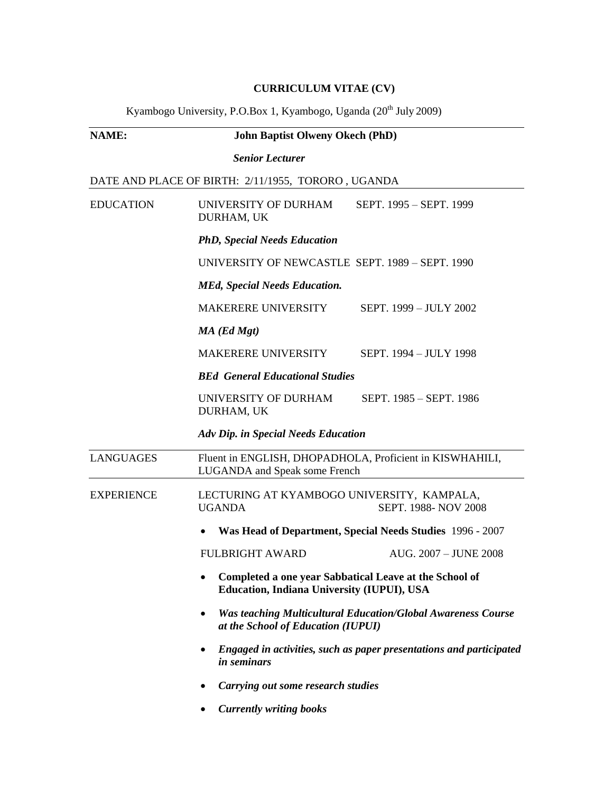## **CURRICULUM VITAE (CV)**

Kyambogo University, P.O.Box 1, Kyambogo, Uganda (20<sup>th</sup> July 2009)

| <b>NAME:</b>      | <b>John Baptist Olweny Okech (PhD)</b>                                                                         |
|-------------------|----------------------------------------------------------------------------------------------------------------|
|                   | <b>Senior Lecturer</b>                                                                                         |
|                   | DATE AND PLACE OF BIRTH: 2/11/1955, TORORO, UGANDA                                                             |
| <b>EDUCATION</b>  | UNIVERSITY OF DURHAM<br>SEPT. 1995 - SEPT. 1999<br>DURHAM, UK                                                  |
|                   | <b>PhD, Special Needs Education</b>                                                                            |
|                   | UNIVERSITY OF NEWCASTLE SEPT. 1989 – SEPT. 1990                                                                |
|                   | <b>MEd, Special Needs Education.</b>                                                                           |
|                   | MAKERERE UNIVERSITY<br>SEPT. 1999 - JULY 2002                                                                  |
|                   | $MA$ (Ed Mgt)                                                                                                  |
|                   | MAKERERE UNIVERSITY<br>SEPT. 1994 - JULY 1998                                                                  |
|                   | <b>BEd General Educational Studies</b>                                                                         |
|                   | UNIVERSITY OF DURHAM<br>SEPT. 1985 - SEPT. 1986<br>DURHAM, UK                                                  |
|                   | <b>Adv Dip. in Special Needs Education</b>                                                                     |
| <b>LANGUAGES</b>  | Fluent in ENGLISH, DHOPADHOLA, Proficient in KISWHAHILI,<br>LUGANDA and Speak some French                      |
| <b>EXPERIENCE</b> | LECTURING AT KYAMBOGO UNIVERSITY, KAMPALA,<br><b>UGANDA</b><br>SEPT. 1988-NOV 2008                             |
|                   | Was Head of Department, Special Needs Studies 1996 - 2007                                                      |
|                   | <b>FULBRIGHT AWARD</b><br>AUG. 2007 - JUNE 2008                                                                |
|                   | Completed a one year Sabbatical Leave at the School of<br>٠<br>Education, Indiana University (IUPUI), USA      |
|                   | <b>Was teaching Multicultural Education/Global Awareness Course</b><br>٠<br>at the School of Education (IUPUI) |
|                   | Engaged in activities, such as paper presentations and participated<br><i>in seminars</i>                      |
|                   | Carrying out some research studies                                                                             |
|                   | <b>Currently writing books</b>                                                                                 |